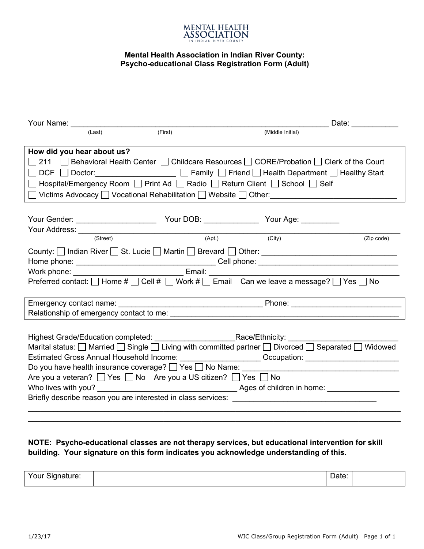

## **Mental Health Association in Indian River County: Psycho-educational Class Registration Form (Adult)**

| Your Name: View Manual Annual Annual Annual Annual Annual Annual Annual Annual Annual Annual Annual Annual Annu                                                                          |                            |                                                                                                                                   |  | Date: ___________ |            |  |  |  |  |
|------------------------------------------------------------------------------------------------------------------------------------------------------------------------------------------|----------------------------|-----------------------------------------------------------------------------------------------------------------------------------|--|-------------------|------------|--|--|--|--|
|                                                                                                                                                                                          | (Last)                     | (First)                                                                                                                           |  | (Middle Initial)  |            |  |  |  |  |
|                                                                                                                                                                                          |                            |                                                                                                                                   |  |                   |            |  |  |  |  |
|                                                                                                                                                                                          | How did you hear about us? |                                                                                                                                   |  |                   |            |  |  |  |  |
| 211 <b>Sehavioral Health Center Collection Resources CORE/Probation Collection Collect</b> of the Court                                                                                  |                            |                                                                                                                                   |  |                   |            |  |  |  |  |
|                                                                                                                                                                                          |                            |                                                                                                                                   |  |                   |            |  |  |  |  |
| □ Hospital/Emergency Room □ Print Ad □ Radio □ Return Client □ School □ Self                                                                                                             |                            |                                                                                                                                   |  |                   |            |  |  |  |  |
|                                                                                                                                                                                          |                            | ◯ Victims Advocacy ◯ Vocational Rehabilitation L   Website L   Other: ______________________________                              |  |                   |            |  |  |  |  |
|                                                                                                                                                                                          |                            |                                                                                                                                   |  |                   |            |  |  |  |  |
|                                                                                                                                                                                          |                            |                                                                                                                                   |  |                   |            |  |  |  |  |
|                                                                                                                                                                                          |                            |                                                                                                                                   |  |                   |            |  |  |  |  |
|                                                                                                                                                                                          |                            |                                                                                                                                   |  | (City)            | (Zip code) |  |  |  |  |
|                                                                                                                                                                                          |                            |                                                                                                                                   |  |                   |            |  |  |  |  |
|                                                                                                                                                                                          |                            |                                                                                                                                   |  |                   |            |  |  |  |  |
|                                                                                                                                                                                          |                            |                                                                                                                                   |  |                   |            |  |  |  |  |
| Preferred contact: $\Box$ Home # $\Box$ Cell # $\Box$ Work # $\Box$ Email Can we leave a message? $\Box$ Yes $\Box$ No                                                                   |                            |                                                                                                                                   |  |                   |            |  |  |  |  |
|                                                                                                                                                                                          |                            |                                                                                                                                   |  |                   |            |  |  |  |  |
|                                                                                                                                                                                          |                            |                                                                                                                                   |  |                   |            |  |  |  |  |
|                                                                                                                                                                                          |                            |                                                                                                                                   |  |                   |            |  |  |  |  |
|                                                                                                                                                                                          |                            |                                                                                                                                   |  |                   |            |  |  |  |  |
|                                                                                                                                                                                          |                            |                                                                                                                                   |  |                   |            |  |  |  |  |
|                                                                                                                                                                                          |                            | Marital status: $\Box$ Married $\Box$ Single $\Box$ Living with committed partner $\Box$ Divorced $\Box$ Separated $\Box$ Widowed |  |                   |            |  |  |  |  |
|                                                                                                                                                                                          |                            |                                                                                                                                   |  |                   |            |  |  |  |  |
| Estimated Gross Annual Household Income: ______________________Occupation: _________________________<br>Do you have health insurance coverage? [ Yes   No Name: ________________________ |                            |                                                                                                                                   |  |                   |            |  |  |  |  |
| Are you a veteran? $\Box$ Yes $\Box$ No Are you a US citizen? $\Box$ Yes $\Box$ No                                                                                                       |                            |                                                                                                                                   |  |                   |            |  |  |  |  |
|                                                                                                                                                                                          |                            |                                                                                                                                   |  |                   |            |  |  |  |  |
|                                                                                                                                                                                          |                            |                                                                                                                                   |  |                   |            |  |  |  |  |
|                                                                                                                                                                                          |                            |                                                                                                                                   |  |                   |            |  |  |  |  |
|                                                                                                                                                                                          |                            |                                                                                                                                   |  |                   |            |  |  |  |  |

## **NOTE: Psycho-educational classes are not therapy services, but educational intervention for skill building. Your signature on this form indicates you acknowledge understanding of this.**

| Your Signature: | $\overline{\phantom{0}}$<br>Date: |  |
|-----------------|-----------------------------------|--|
|                 |                                   |  |